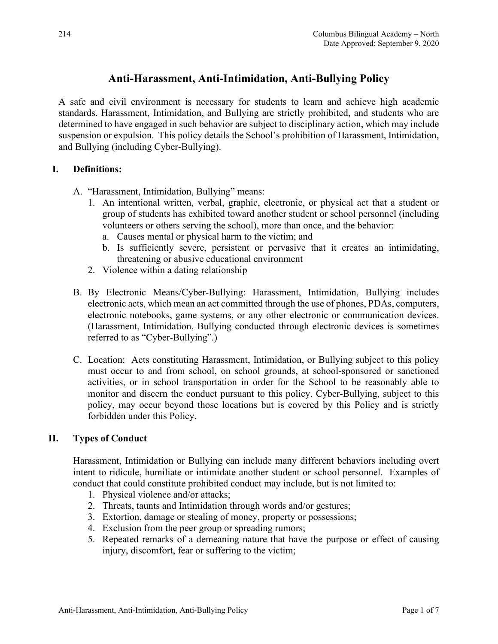# **Anti-Harassment, Anti-Intimidation, Anti-Bullying Policy**

A safe and civil environment is necessary for students to learn and achieve high academic standards. Harassment, Intimidation, and Bullying are strictly prohibited, and students who are determined to have engaged in such behavior are subject to disciplinary action, which may include suspension or expulsion. This policy details the School's prohibition of Harassment, Intimidation, and Bullying (including Cyber-Bullying).

## **I. Definitions:**

A. "Harassment, Intimidation, Bullying" means:

- 1. An intentional written, verbal, graphic, electronic, or physical act that a student or group of students has exhibited toward another student or school personnel (including volunteers or others serving the school), more than once, and the behavior:
	- a. Causes mental or physical harm to the victim; and
	- b. Is sufficiently severe, persistent or pervasive that it creates an intimidating, threatening or abusive educational environment
- 2. Violence within a dating relationship
- B. By Electronic Means/Cyber-Bullying: Harassment, Intimidation, Bullying includes electronic acts, which mean an act committed through the use of phones, PDAs, computers, electronic notebooks, game systems, or any other electronic or communication devices. (Harassment, Intimidation, Bullying conducted through electronic devices is sometimes referred to as "Cyber-Bullying".)
- C. Location: Acts constituting Harassment, Intimidation, or Bullying subject to this policy must occur to and from school, on school grounds, at school-sponsored or sanctioned activities, or in school transportation in order for the School to be reasonably able to monitor and discern the conduct pursuant to this policy. Cyber-Bullying, subject to this policy, may occur beyond those locations but is covered by this Policy and is strictly forbidden under this Policy.

# **II. Types of Conduct**

Harassment, Intimidation or Bullying can include many different behaviors including overt intent to ridicule, humiliate or intimidate another student or school personnel. Examples of conduct that could constitute prohibited conduct may include, but is not limited to:

- 1. Physical violence and/or attacks;
- 2. Threats, taunts and Intimidation through words and/or gestures;
- 3. Extortion, damage or stealing of money, property or possessions;
- 4. Exclusion from the peer group or spreading rumors;
- 5. Repeated remarks of a demeaning nature that have the purpose or effect of causing injury, discomfort, fear or suffering to the victim;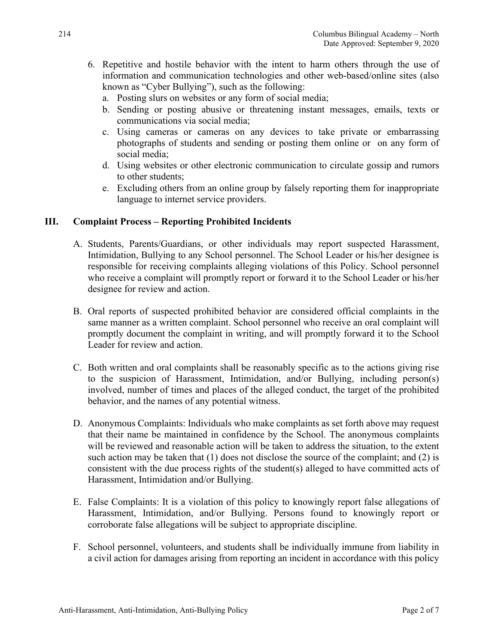- 6. Repetitive and hostile behavior with the intent to harm others through the use of information and communication technologies and other web-based/online sites (also known as "Cyber Bullying"), such as the following:
	- a. Posting slurs on websites or any form of social media;
	- b. Sending or posting abusive or threatening instant messages, emails, texts or communications via social media;
	- c. Using cameras or cameras on any devices to take private or embarrassing photographs of students and sending or posting them online or on any form of social media;
	- d. Using websites or other electronic communication to circulate gossip and rumors to other students;
	- e. Excluding others from an online group by falsely reporting them for inappropriate language to internet service providers.

## **III. Complaint Process – Reporting Prohibited Incidents**

- A. Students, Parents/Guardians, or other individuals may report suspected Harassment, Intimidation, Bullying to any School personnel. The School Leader or his/her designee is responsible for receiving complaints alleging violations of this Policy. School personnel who receive a complaint will promptly report or forward it to the School Leader or his/her designee for review and action.
- B. Oral reports of suspected prohibited behavior are considered official complaints in the same manner as a written complaint. School personnel who receive an oral complaint will promptly document the complaint in writing, and will promptly forward it to the School Leader for review and action.
- C. Both written and oral complaints shall be reasonably specific as to the actions giving rise to the suspicion of Harassment, Intimidation, and/or Bullying, including person(s) involved, number of times and places of the alleged conduct, the target of the prohibited behavior, and the names of any potential witness.
- D. Anonymous Complaints: Individuals who make complaints as set forth above may request that their name be maintained in confidence by the School. The anonymous complaints will be reviewed and reasonable action will be taken to address the situation, to the extent such action may be taken that (1) does not disclose the source of the complaint; and (2) is consistent with the due process rights of the student(s) alleged to have committed acts of Harassment, Intimidation and/or Bullying.
- E. False Complaints: It is a violation of this policy to knowingly report false allegations of Harassment, Intimidation, and/or Bullying. Persons found to knowingly report or corroborate false allegations will be subject to appropriate discipline.
- F. School personnel, volunteers, and students shall be individually immune from liability in a civil action for damages arising from reporting an incident in accordance with this policy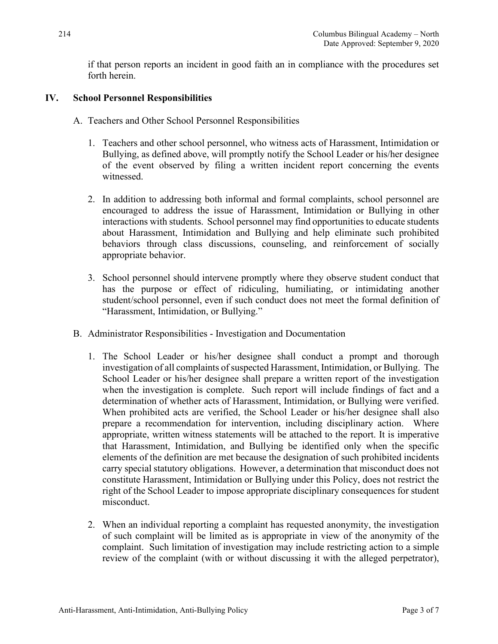if that person reports an incident in good faith an in compliance with the procedures set forth herein.

# **IV. School Personnel Responsibilities**

- A. Teachers and Other School Personnel Responsibilities
	- 1. Teachers and other school personnel, who witness acts of Harassment, Intimidation or Bullying, as defined above, will promptly notify the School Leader or his/her designee of the event observed by filing a written incident report concerning the events witnessed.
	- 2. In addition to addressing both informal and formal complaints, school personnel are encouraged to address the issue of Harassment, Intimidation or Bullying in other interactions with students. School personnel may find opportunities to educate students about Harassment, Intimidation and Bullying and help eliminate such prohibited behaviors through class discussions, counseling, and reinforcement of socially appropriate behavior.
	- 3. School personnel should intervene promptly where they observe student conduct that has the purpose or effect of ridiculing, humiliating, or intimidating another student/school personnel, even if such conduct does not meet the formal definition of "Harassment, Intimidation, or Bullying."
- B. Administrator Responsibilities Investigation and Documentation
	- 1. The School Leader or his/her designee shall conduct a prompt and thorough investigation of all complaints of suspected Harassment, Intimidation, or Bullying. The School Leader or his/her designee shall prepare a written report of the investigation when the investigation is complete. Such report will include findings of fact and a determination of whether acts of Harassment, Intimidation, or Bullying were verified. When prohibited acts are verified, the School Leader or his/her designee shall also prepare a recommendation for intervention, including disciplinary action. Where appropriate, written witness statements will be attached to the report. It is imperative that Harassment, Intimidation, and Bullying be identified only when the specific elements of the definition are met because the designation of such prohibited incidents carry special statutory obligations. However, a determination that misconduct does not constitute Harassment, Intimidation or Bullying under this Policy, does not restrict the right of the School Leader to impose appropriate disciplinary consequences for student misconduct.
	- 2. When an individual reporting a complaint has requested anonymity, the investigation of such complaint will be limited as is appropriate in view of the anonymity of the complaint. Such limitation of investigation may include restricting action to a simple review of the complaint (with or without discussing it with the alleged perpetrator),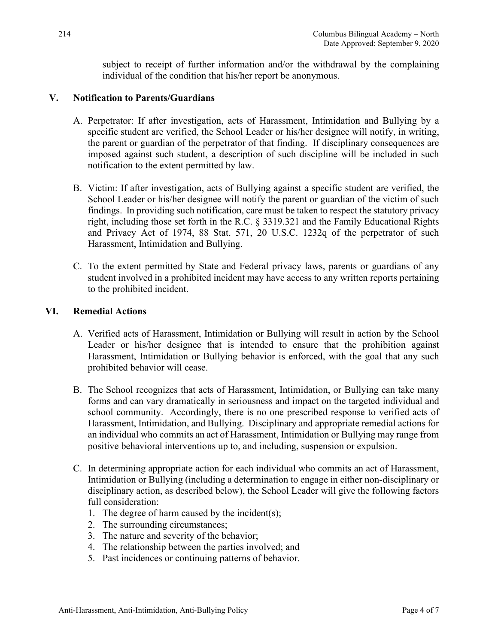subject to receipt of further information and/or the withdrawal by the complaining individual of the condition that his/her report be anonymous.

## **V. Notification to Parents/Guardians**

- A. Perpetrator: If after investigation, acts of Harassment, Intimidation and Bullying by a specific student are verified, the School Leader or his/her designee will notify, in writing, the parent or guardian of the perpetrator of that finding. If disciplinary consequences are imposed against such student, a description of such discipline will be included in such notification to the extent permitted by law.
- B. Victim: If after investigation, acts of Bullying against a specific student are verified, the School Leader or his/her designee will notify the parent or guardian of the victim of such findings. In providing such notification, care must be taken to respect the statutory privacy right, including those set forth in the R.C. § 3319.321 and the Family Educational Rights and Privacy Act of 1974, 88 Stat. 571, 20 U.S.C. 1232q of the perpetrator of such Harassment, Intimidation and Bullying.
- C. To the extent permitted by State and Federal privacy laws, parents or guardians of any student involved in a prohibited incident may have access to any written reports pertaining to the prohibited incident.

## **VI. Remedial Actions**

- A. Verified acts of Harassment, Intimidation or Bullying will result in action by the School Leader or his/her designee that is intended to ensure that the prohibition against Harassment, Intimidation or Bullying behavior is enforced, with the goal that any such prohibited behavior will cease.
- B. The School recognizes that acts of Harassment, Intimidation, or Bullying can take many forms and can vary dramatically in seriousness and impact on the targeted individual and school community. Accordingly, there is no one prescribed response to verified acts of Harassment, Intimidation, and Bullying. Disciplinary and appropriate remedial actions for an individual who commits an act of Harassment, Intimidation or Bullying may range from positive behavioral interventions up to, and including, suspension or expulsion.
- C. In determining appropriate action for each individual who commits an act of Harassment, Intimidation or Bullying (including a determination to engage in either non-disciplinary or disciplinary action, as described below), the School Leader will give the following factors full consideration:
	- 1. The degree of harm caused by the incident(s);
	- 2. The surrounding circumstances;
	- 3. The nature and severity of the behavior;
	- 4. The relationship between the parties involved; and
	- 5. Past incidences or continuing patterns of behavior.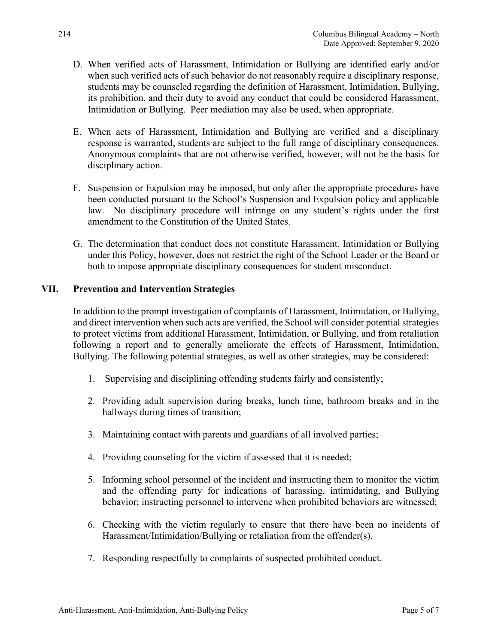- D. When verified acts of Harassment, Intimidation or Bullying are identified early and/or when such verified acts of such behavior do not reasonably require a disciplinary response, students may be counseled regarding the definition of Harassment, Intimidation, Bullying, its prohibition, and their duty to avoid any conduct that could be considered Harassment, Intimidation or Bullying. Peer mediation may also be used, when appropriate.
- E. When acts of Harassment, Intimidation and Bullying are verified and a disciplinary response is warranted, students are subject to the full range of disciplinary consequences. Anonymous complaints that are not otherwise verified, however, will not be the basis for disciplinary action.
- F. Suspension or Expulsion may be imposed, but only after the appropriate procedures have been conducted pursuant to the School's Suspension and Expulsion policy and applicable law. No disciplinary procedure will infringe on any student's rights under the first amendment to the Constitution of the United States.
- G. The determination that conduct does not constitute Harassment, Intimidation or Bullying under this Policy, however, does not restrict the right of the School Leader or the Board or both to impose appropriate disciplinary consequences for student misconduct.

## **VII. Prevention and Intervention Strategies**

In addition to the prompt investigation of complaints of Harassment, Intimidation, or Bullying, and direct intervention when such acts are verified, the School will consider potential strategies to protect victims from additional Harassment, Intimidation, or Bullying, and from retaliation following a report and to generally ameliorate the effects of Harassment, Intimidation, Bullying. The following potential strategies, as well as other strategies, may be considered:

- 1. Supervising and disciplining offending students fairly and consistently;
- 2. Providing adult supervision during breaks, lunch time, bathroom breaks and in the hallways during times of transition;
- 3. Maintaining contact with parents and guardians of all involved parties;
- 4. Providing counseling for the victim if assessed that it is needed;
- 5. Informing school personnel of the incident and instructing them to monitor the victim and the offending party for indications of harassing, intimidating, and Bullying behavior; instructing personnel to intervene when prohibited behaviors are witnessed;
- 6. Checking with the victim regularly to ensure that there have been no incidents of Harassment/Intimidation/Bullying or retaliation from the offender(s).
- 7. Responding respectfully to complaints of suspected prohibited conduct.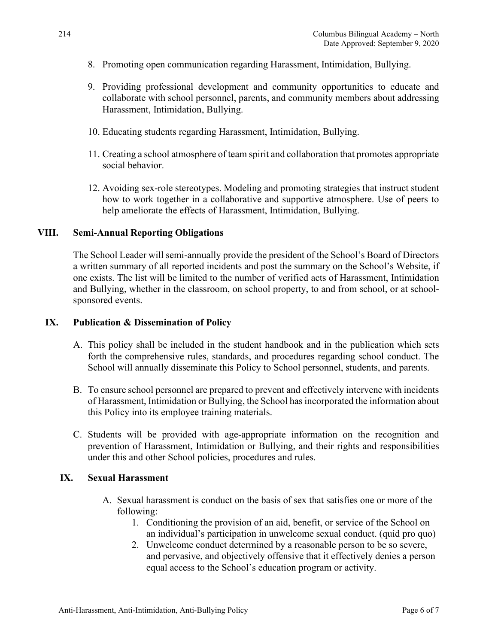- 8. Promoting open communication regarding Harassment, Intimidation, Bullying.
- 9. Providing professional development and community opportunities to educate and collaborate with school personnel, parents, and community members about addressing Harassment, Intimidation, Bullying.
- 10. Educating students regarding Harassment, Intimidation, Bullying.
- 11. Creating a school atmosphere of team spirit and collaboration that promotes appropriate social behavior.
- 12. Avoiding sex-role stereotypes. Modeling and promoting strategies that instruct student how to work together in a collaborative and supportive atmosphere. Use of peers to help ameliorate the effects of Harassment, Intimidation, Bullying.

#### **VIII. Semi-Annual Reporting Obligations**

The School Leader will semi-annually provide the president of the School's Board of Directors a written summary of all reported incidents and post the summary on the School's Website, if one exists. The list will be limited to the number of verified acts of Harassment, Intimidation and Bullying, whether in the classroom, on school property, to and from school, or at schoolsponsored events.

#### **IX. Publication & Dissemination of Policy**

- A. This policy shall be included in the student handbook and in the publication which sets forth the comprehensive rules, standards, and procedures regarding school conduct. The School will annually disseminate this Policy to School personnel, students, and parents.
- B. To ensure school personnel are prepared to prevent and effectively intervene with incidents of Harassment, Intimidation or Bullying, the School has incorporated the information about this Policy into its employee training materials.
- C. Students will be provided with age-appropriate information on the recognition and prevention of Harassment, Intimidation or Bullying, and their rights and responsibilities under this and other School policies, procedures and rules.

#### **IX. Sexual Harassment**

- A. Sexual harassment is conduct on the basis of sex that satisfies one or more of the following:
	- 1. Conditioning the provision of an aid, benefit, or service of the School on an individual's participation in unwelcome sexual conduct. (quid pro quo)
	- 2. Unwelcome conduct determined by a reasonable person to be so severe, and pervasive, and objectively offensive that it effectively denies a person equal access to the School's education program or activity.